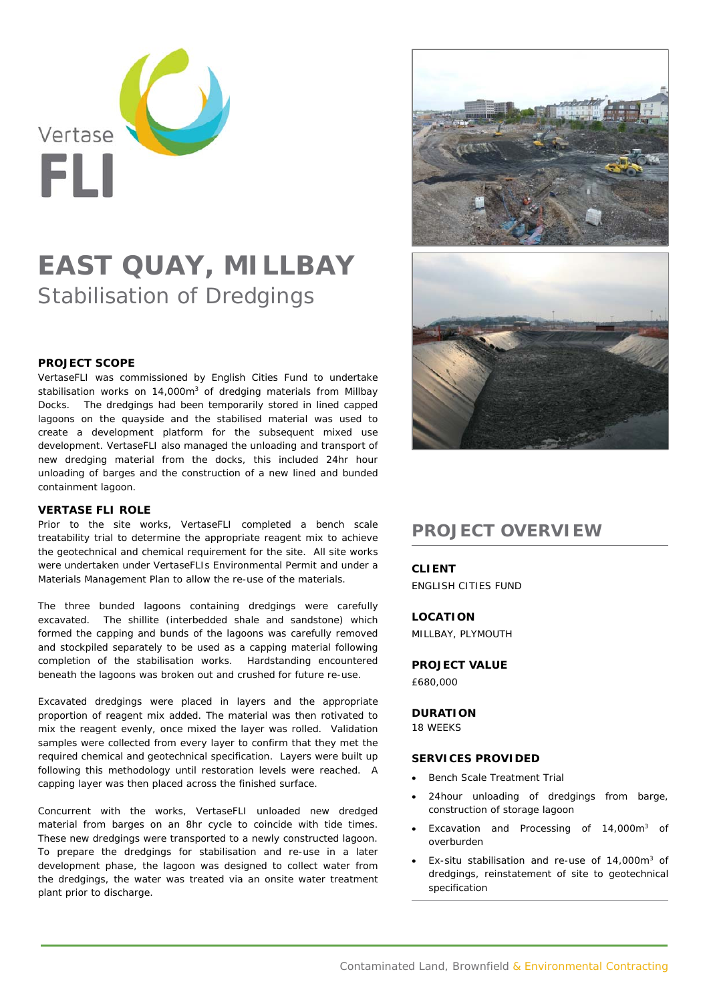

# **EAST QUAY, MILLBAY** Stabilisation of Dredgings

### **PROJECT SCOPE**

VertaseFLI was commissioned by English Cities Fund to undertake stabilisation works on  $14,000m<sup>3</sup>$  of dredging materials from Millbay Docks. The dredgings had been temporarily stored in lined capped lagoons on the quayside and the stabilised material was used to create a development platform for the subsequent mixed use development. VertaseFLI also managed the unloading and transport of new dredging material from the docks, this included 24hr hour unloading of barges and the construction of a new lined and bunded containment lagoon.

#### **VERTASE FLI ROLE**

Prior to the site works, VertaseFLI completed a bench scale treatability trial to determine the appropriate reagent mix to achieve the geotechnical and chemical requirement for the site. All site works were undertaken under VertaseFLIs Environmental Permit and under a Materials Management Plan to allow the re-use of the materials.

The three bunded lagoons containing dredgings were carefully excavated. The shillite (interbedded shale and sandstone) which formed the capping and bunds of the lagoons was carefully removed and stockpiled separately to be used as a capping material following completion of the stabilisation works. Hardstanding encountered beneath the lagoons was broken out and crushed for future re-use.

Excavated dredgings were placed in layers and the appropriate proportion of reagent mix added. The material was then rotivated to mix the reagent evenly, once mixed the layer was rolled. Validation samples were collected from every layer to confirm that they met the required chemical and geotechnical specification. Layers were built up following this methodology until restoration levels were reached. A capping layer was then placed across the finished surface.

Concurrent with the works, VertaseFLI unloaded new dredged material from barges on an 8hr cycle to coincide with tide times. These new dredgings were transported to a newly constructed lagoon. To prepare the dredgings for stabilisation and re-use in a later development phase, the lagoon was designed to collect water from the dredgings, the water was treated via an onsite water treatment plant prior to discharge.



# **PROJECT OVERVIEW**

#### **CLIENT**

ENGLISH CITIES FUND

## **LOCATION**

MILLBAY, PLYMOUTH

**PROJECT VALUE**  £680,000

# **DURATION**

18 WEEKS

#### **SERVICES PROVIDED**

- Bench Scale Treatment Trial
- 24hour unloading of dredgings from barge, construction of storage lagoon
- Excavation and Processing of 14,000m3 of overburden
- Ex-situ stabilisation and re-use of 14,000m3 of dredgings, reinstatement of site to geotechnical specification